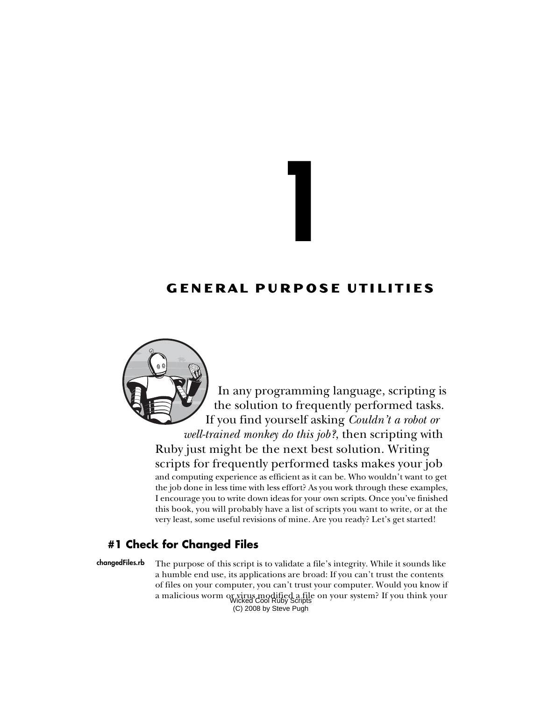# **1 GENERAL PURPOSE UTILITIES**



In any programming language, scripting is the solution to frequently performed tasks. If you find yourself asking *Couldn't a robot or well-trained monkey do this job?*, then scripting with Ruby just might be the next best solution. Writing

scripts for frequently performed tasks makes your job and computing experience as efficient as it can be. Who wouldn't want to get the job done in less time with less effort? As you work through these examples,

I encourage you to write down ideas for your own scripts. Once you've finished this book, you will probably have a list of scripts you want to write, or at the very least, some useful revisions of mine. Are you ready? Let's get started!

# **#1 Check for Changed Files**

**changedFiles.rb** The purpose of this script is to validate a file's integrity. While it sounds like a humble end use, its applications are broad: If you can't trust the contents of files on your computer, you can't trust your computer. Would you know if a malicious worm or virus modified a file on your system? If you think your Wicked Cool Ruby Scripts (C) 2008 by Steve Pugh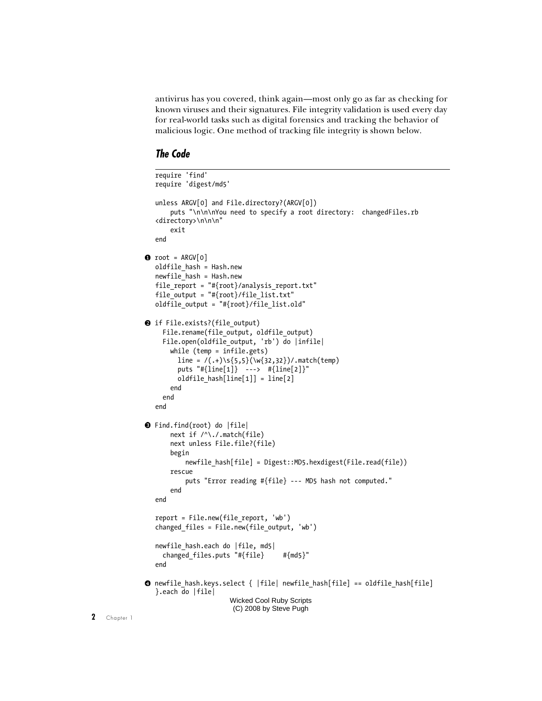antivirus has you covered, think again—most only go as far as checking for known viruses and their signatures. File integrity validation is used every day for real-world tasks such as digital forensics and tracking the behavior of malicious logic. One method of tracking file integrity is shown below.

```
The Code
```

```
require 'find'
  require 'digest/md5'
  unless ARGV[0] and File.directory?(ARGV[0])
       puts "\n\n\nYou need to specify a root directory: changedFiles.rb 
   <directory>\n\n\n"
       exit
  end
\bullet root = ARGV[0]
  oldfile_hash = Hash.new
  newfile_hash = Hash.new
  file report = "#{root}/analysis report.txt"
  file_output = "#{root}/file_list.txt"
  oldfile output = "#{root}/file list.old"
2 if File.exists?(file output)
     File.rename(file output, oldfile output)
    File.open(oldfile output, 'rb') do |infile|
       while (temp = infile.gets)
        line = /(.+)\s{5,5}(\w{32,32})/.match(temp)
         puts "#{line[1]} ---> #{line[2]}"
         oldfile_hash[line[1]] = line[2]
        end
     end
   end
 Find.find(root) do |file|
        next if /^\./.match(file)
        next unless File.file?(file)
        begin
           newfile hash[file] = Digest::MD5.hexdigest(File.read(file))
       rescue
            puts "Error reading #{file} --- MD5 hash not computed."
        end
  end
  report = File.new(file_report, 'wb')
  changed files = File.new(file output, 'wb')
  newfile hash.each do |file, md5|
     changed_files.puts "#{file} #{md5}"
  end
 newfile_hash.keys.select { |file| newfile_hash[file] == oldfile_hash[file] 
  }.each do |file|
                       Wicked Cool Ruby Scripts
                        (C) 2008 by Steve Pugh
```
**2** Chapter 1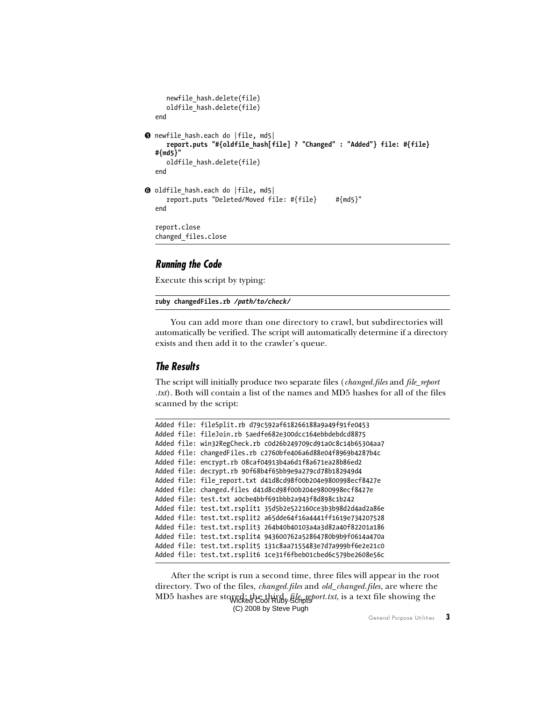```
newfile hash.delete(file)
       oldfile_hash.delete(file)
  end
\Theta newfile hash.each do |file, md5|
       report.puts "#{oldfile_hash[file] ? "Changed" : "Added"} file: #{file} 
  #{md5}"
       oldfile_hash.delete(file)
  end
 oldfile_hash.each do |file, md5|
       report.puts "Deleted/Moved file: #{file} #{md5}"
  end
  report.close
   changed_files.close
```
Execute this script by typing:

**ruby changedFiles.rb** */path/to/check/*

You can add more than one directory to crawl, but subdirectories will automatically be verified. The script will automatically determine if a directory exists and then add it to the crawler's queue.

### *The Results*

The script will initially produce two separate files (*changed.files* and *file\_report .txt*). Both will contain a list of the names and MD5 hashes for all of the files scanned by the script:

```
Added file: fileSplit.rb d79c592af618266188a9a49f91fe0453
Added file: fileJoin.rb 5aedfe682e300dcc164ebbdebdcd8875
Added file: win32RegCheck.rb c0d26b249709cd91a0c8c14b65304aa7
Added file: changedFiles.rb c2760bfe406a6d88e04f8969b4287b4c
Added file: encrypt.rb 08caf04913b4a6d1f8a671ea28b86ed2
Added file: decrypt.rb 90f68b4f65bb9e9a279cd78b182949d4
Added file: file report.txt d41d8cd98f00b204e9800998ecf8427e
Added file: changed.files d41d8cd98f00b204e9800998ecf8427e
Added file: test.txt a0cbe4bbf691bbb2a943f8d898c1b242
Added file: test.txt.rsplit1 35d5b2e522160ce3b3b98d2d4ad2a86e
Added file: test.txt.rsplit2 a65dde64f16a4441ff1619e734207528
Added file: test.txt.rsplit3 264b40b40103a4a3d82a40f82201a186
Added file: test.txt.rsplit4 943600762a52864780b9b9f0614a470a
Added file: test.txt.rsplit5 131c8aa7155483e7d7a999bf6e2e21c0
Added file: test.txt.rsplit6 1ce31f6fbeb01cbed6c579be2608e56c
```
After the script is run a second time, three files will appear in the root directory. Two of the files, *changed.files* and *old\_changed.files*, are where the MD5 hashes are stored; the third, *file\_report.txt*, is a text file showing the (C) 2008 by Steve Pugh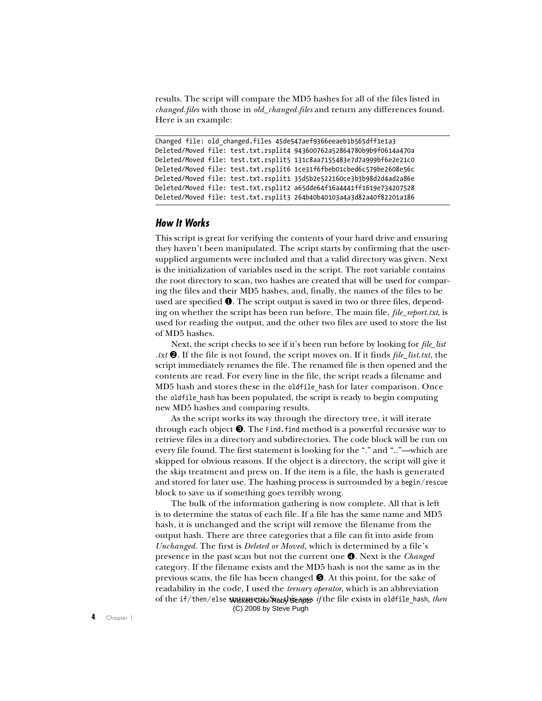results. The script will compare the MD5 hashes for all of the files listed in *changed.files* with those in *old\_changed.files* and return any differences found. Here is an example:

Changed file: old\_changed.files 45de547aef9366eeaeb1b565dff1e1a3 Deleted/Moved file: test.txt.rsplit4 943600762a52864780b9b9f0614a470a Deleted/Moved file: test.txt.rsplit5 131c8aa7155483e7d7a999bf6e2e21c0 Deleted/Moved file: test.txt.rsplit6 1ce31f6fbeb01cbed6c579be2608e56c Deleted/Moved file: test.txt.rsplit1 35d5b2e522160ce3b3b98d2d4ad2a86e Deleted/Moved file: test.txt.rsplit2 a65dde64f16a4441ff1619e734207528 Deleted/Moved file: test.txt.rsplit3 264b40b40103a4a3d82a40f82201a186

### *How It Works*

This script is great for verifying the contents of your hard drive and ensuring they haven't been manipulated. The script starts by confirming that the usersupplied arguments were included and that a valid directory was given. Next is the initialization of variables used in the script. The root variable contains the root directory to scan, two hashes are created that will be used for comparing the files and their MD5 hashes, and, finally, the names of the files to be used are specified  $\mathbf 0$ . The script output is saved in two or three files, depending on whether the script has been run before. The main file, *file\_report.txt*, is used for reading the output, and the other two files are used to store the list of MD5 hashes.

Next, the script checks to see if it's been run before by looking for *file\_list .txt* . If the file is not found, the script moves on. If it finds *file\_list.txt*, the script immediately renames the file. The renamed file is then opened and the contents are read. For every line in the file, the script reads a filename and MD5 hash and stores these in the oldfile\_hash for later comparison. Once the oldfile\_hash has been populated, the script is ready to begin computing new MD5 hashes and comparing results.

As the script works its way through the directory tree, it will iterate through each object  $\bullet$ . The Find. find method is a powerful recursive way to retrieve files in a directory and subdirectories. The code block will be run on every file found. The first statement is looking for the "." and ".."—which are skipped for obvious reasons. If the object is a directory, the script will give it the skip treatment and press on. If the item is a file, the hash is generated and stored for later use. The hashing process is surrounded by a begin/rescue block to save us if something goes terribly wrong.

The bulk of the information gathering is now complete. All that is left is to determine the status of each file. If a file has the same name and MD5 hash, it is unchanged and the script will remove the filename from the output hash. There are three categories that a file can fit into aside from *Unchanged*. The first is *Deleted or Moved*, which is determined by a file's presence in the past scan but not the current one  $\bullet$ . Next is the *Changed* category. If the filename exists and the MD5 hash is not the same as in the previous scans, the file has been changed  $\bullet$ . At this point, for the sake of readability in the code, I used the *ternary operator*, which is an abbreviation of the if/then/else state and Rept Schipter if the file exists in oldfile\_hash, *then* (C) 2008 by Steve Pugh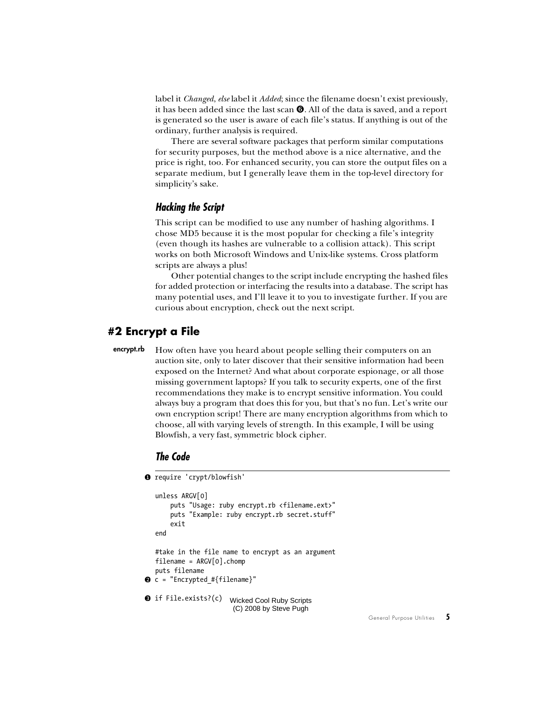label it *Changed*, *else* label it *Added*; since the filename doesn't exist previously, it has been added since the last scan  $\Theta$ . All of the data is saved, and a report is generated so the user is aware of each file's status. If anything is out of the ordinary, further analysis is required.

There are several software packages that perform similar computations for security purposes, but the method above is a nice alternative, and the price is right, too. For enhanced security, you can store the output files on a separate medium, but I generally leave them in the top-level directory for simplicity's sake.

### *Hacking the Script*

This script can be modified to use any number of hashing algorithms. I chose MD5 because it is the most popular for checking a file's integrity (even though its hashes are vulnerable to a collision attack). This script works on both Microsoft Windows and Unix-like systems. Cross platform scripts are always a plus!

Other potential changes to the script include encrypting the hashed files for added protection or interfacing the results into a database. The script has many potential uses, and I'll leave it to you to investigate further. If you are curious about encryption, check out the next script.

# **#2 Encrypt a File**

**encrypt.rb** How often have you heard about people selling their computers on an auction site, only to later discover that their sensitive information had been exposed on the Internet? And what about corporate espionage, or all those missing government laptops? If you talk to security experts, one of the first recommendations they make is to encrypt sensitive information. You could always buy a program that does this for you, but that's no fun. Let's write our own encryption script! There are many encryption algorithms from which to choose, all with varying levels of strength. In this example, I will be using Blowfish, a very fast, symmetric block cipher.

# *The Code*

```
 require 'crypt/blowfish'
```

```
unless ARGV[0]
        puts "Usage: ruby encrypt.rb <filename.ext>"
        puts "Example: ruby encrypt.rb secret.stuff"
        exit
  end
  #take in the file name to encrypt as an argument
  filename = ARGV[0].chomp
  puts filename
\bullet c = "Encrypted #{filename}"
 if File.exists?(c) Wicked Cool Ruby Scripts
                        (C) 2008 by Steve Pugh
```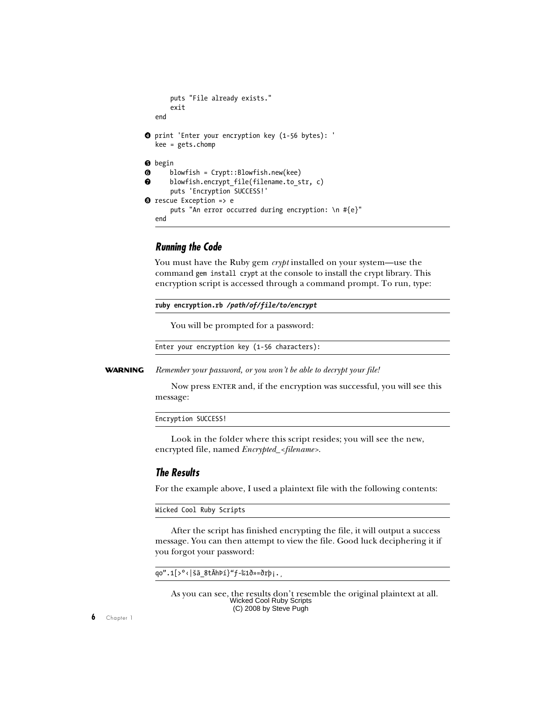```
 puts "File already exists."
       exit
  end
 print 'Enter your encryption key (1-56 bytes): '
  kee = gets.chomp
b begin
\Theta blowfish = Crypt::Blowfish.new(kee)
\odot blowfish.encrypt file(filename.to str, c)
        puts 'Encryption SUCCESS!'
O rescue Exception => e
        puts "An error occurred during encryption: \n #{e}"
  end
```
You must have the Ruby gem *crypt* installed on your system—use the command gem install crypt at the console to install the crypt library. This encryption script is accessed through a command prompt. To run, type:

**ruby encryption.rb** */path/of/file/to/encrypt*

You will be prompted for a password:

Enter your encryption key (1-56 characters):

**WARNING** *Remember your password, or you won't be able to decrypt your file!*

Now press ENTER and, if the encryption was successful, you will see this message:

Encryption SUCCESS!

Look in the folder where this script resides; you will see the new, encrypted file, named *Encrypted\_<filename>*.

### *The Results*

For the example above, I used a plaintext file with the following contents:

```
Wicked Cool Ruby Scripts
```
After the script has finished encrypting the file, it will output a success message. You can then attempt to view the file. Good luck deciphering it if you forgot your password:

qo".1[>°‹|šã\_8tÃhÞí}"ƒ-‰1ð»=ðrþ¡.¸

As you can see, the results don't resemble the original plaintext at all. Wicked Cool Ruby Scripts (C) 2008 by Steve Pugh

**6** Chapter 1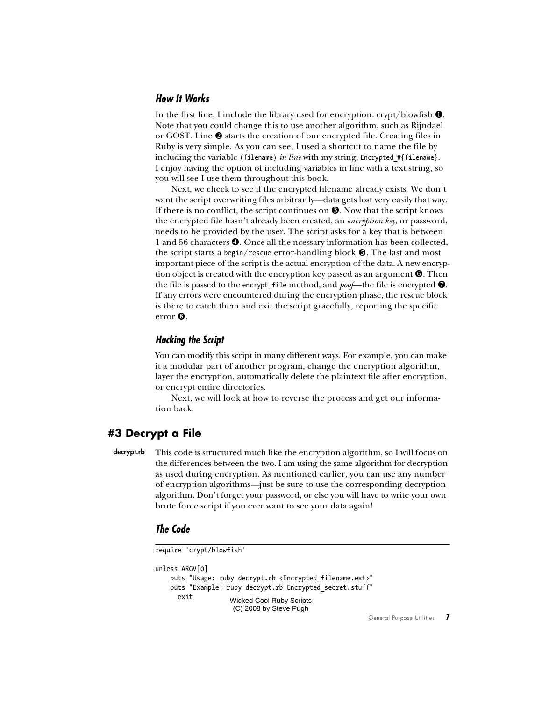# *How It Works*

In the first line, I include the library used for encryption: crypt/blowfish  $\bullet$ . Note that you could change this to use another algorithm, such as Rijndael or GOST. Line  $\bullet$  starts the creation of our encrypted file. Creating files in Ruby is very simple. As you can see, I used a shortcut to name the file by including the variable (filename) *in line* with my string, Encrypted\_#{filename}. I enjoy having the option of including variables in line with a text string, so you will see I use them throughout this book.

Next, we check to see if the encrypted filename already exists. We don't want the script overwriting files arbitrarily—data gets lost very easily that way. If there is no conflict, the script continues on  $\bullet$ . Now that the script knows the encrypted file hasn't already been created, an *encryption key*, or password, needs to be provided by the user. The script asks for a key that is between 1 and 56 characters  $\bullet$ . Once all the ncessary information has been collected, the script starts a begin/rescue error-handling block  $\bullet$ . The last and most important piece of the script is the actual encryption of the data. A new encryption object is created with the encryption key passed as an argument  $\mathbf 0$ . Then the file is passed to the encrypt file method, and *poof*—the file is encrypted  $\bullet$ . If any errors were encountered during the encryption phase, the rescue block is there to catch them and exit the script gracefully, reporting the specific error  $\mathbf{\Theta}$ .

### *Hacking the Script*

You can modify this script in many different ways. For example, you can make it a modular part of another program, change the encryption algorithm, layer the encryption, automatically delete the plaintext file after encryption, or encrypt entire directories.

Next, we will look at how to reverse the process and get our information back.

# **#3 Decrypt a File**

**decrypt.rb** This code is structured much like the encryption algorithm, so I will focus on the differences between the two. I am using the same algorithm for decryption as used during encryption. As mentioned earlier, you can use any number of encryption algorithms—just be sure to use the corresponding decryption algorithm. Don't forget your password, or else you will have to write your own brute force script if you ever want to see your data again!

### *The Code*

```
require 'crypt/blowfish'
unless ARGV[0]
    puts "Usage: ruby decrypt.rb <Encrypted filename.ext>"
    puts "Example: ruby decrypt.rb Encrypted_secret.stuff"
      exit Wicked Cool Ruby Scripts
                    (C) 2008 by Steve Pugh
```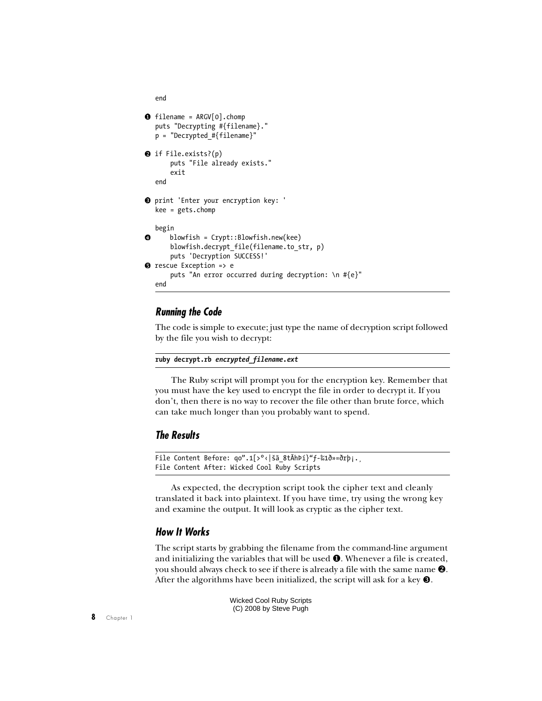```
end
\bullet filename = ARGV[0].chomp
  puts "Decrypting #{filename}."
  p = "Decrypted_#{filename}"
\Theta if File.exists?(p)
        puts "File already exists."
        exit
  end
 print 'Enter your encryption key: '
  kee = gets.chomp
  begin
 blowfish = Crypt::Blowfish.new(kee)
       blowfish.decrypt file(filename.to str, p)
        puts 'Decryption SUCCESS!'
\Theta rescue Exception => e
        puts "An error occurred during decryption: \n #{e}"
  end
```
The code is simple to execute; just type the name of decryption script followed by the file you wish to decrypt:

|  | ruby decrypt.rb encrypted_filename.ext |
|--|----------------------------------------|
|  |                                        |

The Ruby script will prompt you for the encryption key. Remember that you must have the key used to encrypt the file in order to decrypt it. If you don't, then there is no way to recover the file other than brute force, which can take much longer than you probably want to spend.

## *The Results*

```
File Content Before: qo".1[>°‹|šã 8tÃhÞí}"f-‰1ð»=ðrþ;.,
File Content After: Wicked Cool Ruby Scripts
```
As expected, the decryption script took the cipher text and cleanly translated it back into plaintext. If you have time, try using the wrong key and examine the output. It will look as cryptic as the cipher text.

# *How It Works*

The script starts by grabbing the filename from the command-line argument and initializing the variables that will be used  $\bullet$ . Whenever a file is created, you should always check to see if there is already a file with the same name  $\mathbf{\Theta}$ . After the algorithms have been initialized, the script will ask for a key  $\bullet$ .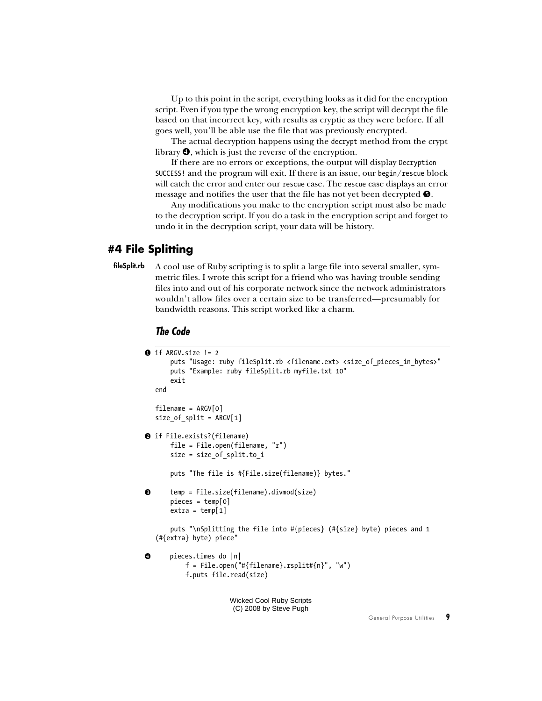Up to this point in the script, everything looks as it did for the encryption script. Even if you type the wrong encryption key, the script will decrypt the file based on that incorrect key, with results as cryptic as they were before. If all goes well, you'll be able use the file that was previously encrypted.

The actual decryption happens using the decrypt method from the crypt library  $\mathbf{\Theta}$ , which is just the reverse of the encryption.

If there are no errors or exceptions, the output will display Decryption SUCCESS! and the program will exit. If there is an issue, our begin/rescue block will catch the error and enter our rescue case. The rescue case displays an error message and notifies the user that the file has not yet been decrypted  $\boldsymbol{\Theta}$ .

Any modifications you make to the encryption script must also be made to the decryption script. If you do a task in the encryption script and forget to undo it in the decryption script, your data will be history.

# **#4 File Splitting**

fileSplit.rb A cool use of Ruby scripting is to split a large file into several smaller, symmetric files. I wrote this script for a friend who was having trouble sending files into and out of his corporate network since the network administrators wouldn't allow files over a certain size to be transferred—presumably for bandwidth reasons. This script worked like a charm.

# *The Code*

```
\bullet if ARGV.size != 2
       puts "Usage: ruby fileSplit.rb <filename.ext> <size of pieces in bytes>"
       puts "Example: ruby fileSplit.rb myfile.txt 10"
        exit
  end
  filename = ARGV[0]
  size of split = ARGV[1]@ if File.exists?(filename)
       file = File.open(filename, "r")
       size = size of split.to i
        puts "The file is #{File.size(filename)} bytes."
 temp = File.size(filename).divmod(size)
       pieces = temp[0]extra = temp[1] puts "\nSplitting the file into #{pieces} (#{size} byte) pieces and 1 
   (#{extra} byte) piece"
\bullet pieces.times do |n| f = File.open("#{filename}.rsplit#{n}", "w")
            f.puts file.read(size)
                       Wicked Cool Ruby Scripts
                        (C) 2008 by Steve Pugh
```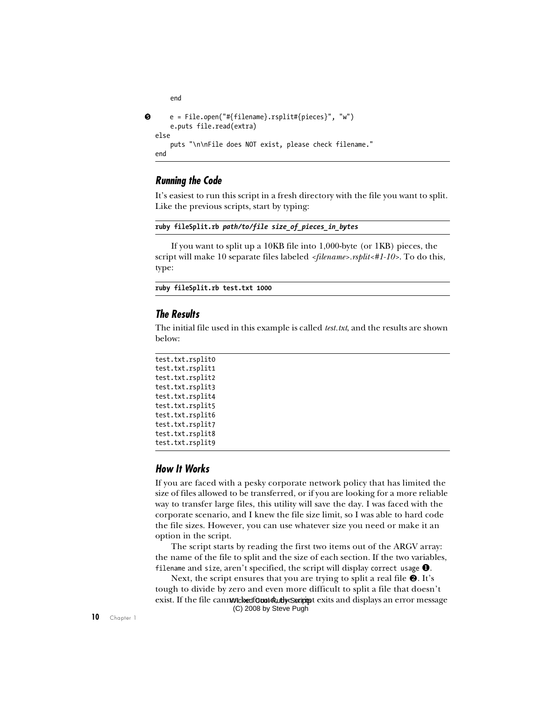```
 end
 e = File.open("#{filename}.rsplit#{pieces}", "w")
       e.puts file.read(extra)
  else
       puts "\n\nFile does NOT exist, please check filename."
  end
```
It's easiest to run this script in a fresh directory with the file you want to split. Like the previous scripts, start by typing:

### **ruby fileSplit.rb** *path/to/file size\_of\_pieces\_in\_bytes*

If you want to split up a 10KB file into 1,000-byte (or 1KB) pieces, the script will make 10 separate files labeled *<filename>.rsplit<#1-10>*. To do this, type:

|  |  |  | ruby fileSplit.rb test.txt 1000 |  |  |
|--|--|--|---------------------------------|--|--|
|--|--|--|---------------------------------|--|--|

### *The Results*

The initial file used in this example is called *test.txt*, and the results are shown below:

test.txt.rsplit0 test.txt.rsplit1 test.txt.rsplit2 test.txt.rsplit3 test.txt.rsplit4 test.txt.rsplit5 test.txt.rsplit6 test.txt.rsplit7 test.txt.rsplit8 test.txt.rsplit9

### *How It Works*

If you are faced with a pesky corporate network policy that has limited the size of files allowed to be transferred, or if you are looking for a more reliable way to transfer large files, this utility will save the day. I was faced with the corporate scenario, and I knew the file size limit, so I was able to hard code the file sizes. However, you can use whatever size you need or make it an option in the script.

The script starts by reading the first two items out of the ARGV array: the name of the file to split and the size of each section. If the two variables, filename and size, aren't specified, the script will display correct usage  $\bullet$ .

Next, the script ensures that you are trying to split a real file  $\bullet$ . It's tough to divide by zero and even more difficult to split a file that doesn't exist. If the file cannot che found, the scripts exits and displays an error message (C) 2008 by Steve Pugh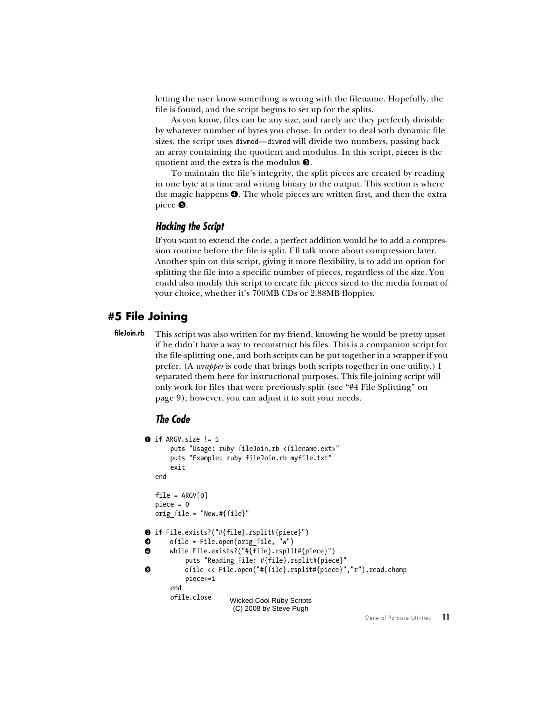letting the user know something is wrong with the filename. Hopefully, the file is found, and the script begins to set up for the splits.

As you know, files can be any size, and rarely are they perfectly divisible by whatever number of bytes you chose. In order to deal with dynamic file sizes, the script uses divmod—divmod will divide two numbers, passing back an array containing the quotient and modulus. In this script, pieces is the quotient and the extra is the modulus  $\mathbf{\Theta}$ .

To maintain the file's integrity, the split pieces are created by reading in one byte at a time and writing binary to the output. This section is where the magic happens  $\bullet$ . The whole pieces are written first, and then the extra piece  $\bullet$ .

### *Hacking the Script*

If you want to extend the code, a perfect addition would be to add a compression routine before the file is split. I'll talk more about compression later. Another spin on this script, giving it more flexibility, is to add an option for splitting the file into a specific number of pieces, regardless of the size. You could also modify this script to create file pieces sized to the media format of your choice, whether it's 700MB CDs or 2.88MB floppies.

# **#5 File Joining**

**fileJoin.rb** This script was also written for my friend, knowing he would be pretty upset if he didn't have a way to reconstruct his files. This is a companion script for the file-splitting one, and both scripts can be put together in a wrapper if you prefer. (A *wrapper* is code that brings both scripts together in one utility.) I separated them here for instructional purposes. This file-joining script will only work for files that were previously split (see "#4 File Splitting" on page 9); however, you can adjust it to suit your needs.

### *The Code*

```
O if ARGV.size != 1
       puts "Usage: ruby fileJoin.rb <filename.ext>"
       puts "Example: ruby fileJoin.rb myfile.txt"
       exit
  end
  file = ARGV[0]piece = 0
  orig_file = "New.#{file}"
 if File.exists?("#{file}.rsplit#{piece}")
\bullet ofile = File.open(orig file, "w")
 while File.exists?("#{file}.rsplit#{piece}") 
           puts "Reading File: #{file}.rsplit#{piece}"
 ofile << File.open("#{file}.rsplit#{piece}","r").read.chomp
           piece+=1
       end
       ofile.close Wicked Cool Ruby Scripts
                       (C) 2008 by Steve Pugh
```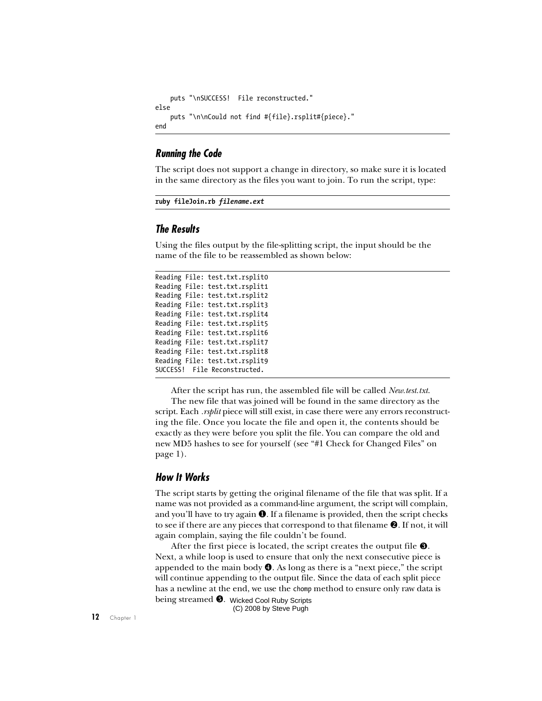```
 puts "\nSUCCESS! File reconstructed."
else 
     puts "\n\nCould not find #{file}.rsplit#{piece}."
end
```
The script does not support a change in directory, so make sure it is located in the same directory as the files you want to join. To run the script, type:

```
ruby fileJoin.rb filename.ext
```
### *The Results*

Using the files output by the file-splitting script, the input should be the name of the file to be reassembled as shown below:

```
Reading File: test.txt.rsplit0
Reading File: test.txt.rsplit1
Reading File: test.txt.rsplit2
Reading File: test.txt.rsplit3
Reading File: test.txt.rsplit4
Reading File: test.txt.rsplit5
Reading File: test.txt.rsplit6
Reading File: test.txt.rsplit7
Reading File: test.txt.rsplit8
Reading File: test.txt.rsplit9
SUCCESS! File Reconstructed.
```
After the script has run, the assembled file will be called *New.test.txt*.

The new file that was joined will be found in the same directory as the script. Each *.rsplit* piece will still exist, in case there were any errors reconstructing the file. Once you locate the file and open it, the contents should be exactly as they were before you split the file. You can compare the old and new MD5 hashes to see for yourself (see "#1 Check for Changed Files" on page 1).

### *How It Works*

The script starts by getting the original filename of the file that was split. If a name was not provided as a command-line argument, the script will complain, and you'll have to try again  $\bullet$ . If a filename is provided, then the script checks to see if there are any pieces that correspond to that filename  $\mathbf{\Theta}$ . If not, it will again complain, saying the file couldn't be found.

After the first piece is located, the script creates the output file  $\bullet$ . Next, a while loop is used to ensure that only the next consecutive piece is appended to the main body  $\bullet$ . As long as there is a "next piece," the script will continue appending to the output file. Since the data of each split piece has a newline at the end, we use the chomp method to ensure only raw data is being streamed  $\bullet$ . Wicked Cool Ruby Scripts

(C) 2008 by Steve Pugh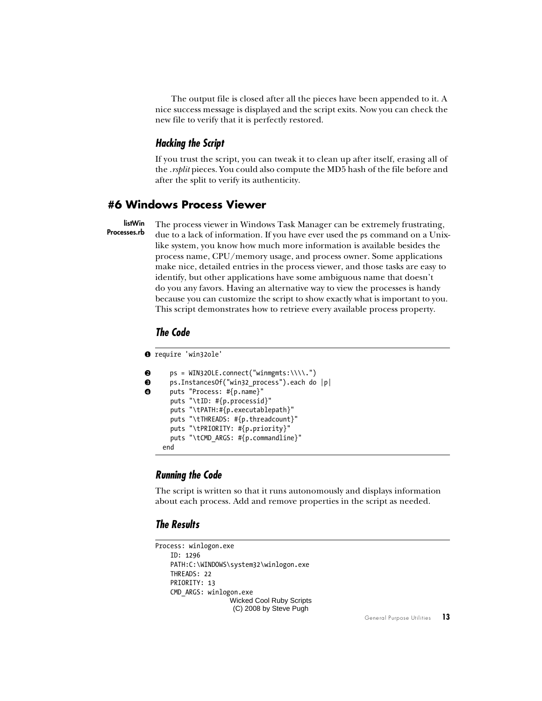The output file is closed after all the pieces have been appended to it. A nice success message is displayed and the script exits. Now you can check the new file to verify that it is perfectly restored.

### *Hacking the Script*

If you trust the script, you can tweak it to clean up after itself, erasing all of the .*rsplit* pieces. You could also compute the MD5 hash of the file before and after the split to verify its authenticity.

## **#6 Windows Process Viewer**

```
listWin
Processes.rb
```
The process viewer in Windows Task Manager can be extremely frustrating, due to a lack of information. If you have ever used the ps command on a Unixlike system, you know how much more information is available besides the process name, CPU/memory usage, and process owner. Some applications make nice, detailed entries in the process viewer, and those tasks are easy to identify, but other applications have some ambiguous name that doesn't do you any favors. Having an alternative way to view the processes is handy because you can customize the script to show exactly what is important to you. This script demonstrates how to retrieve every available process property.

# *The Code*

require 'win32ole'

```
\bullet ps = WIN32OLE.connect("winmgmts:\\\\.")
 ps.InstancesOf("win32_process").each do |p|
 puts "Process: #{p.name}"
       puts "\tID: #{p.processid}" 
       puts "\tPATH:#{p.executablepath}"
       puts "\tTHREADS: #{p.threadcount}"
       puts "\tPRIORITY: #{p.priority}"
      puts "\tCMD ARGS: #{p.commandline}"
     end
```
### *Running the Code*

The script is written so that it runs autonomously and displays information about each process. Add and remove properties in the script as needed.

### *The Results*

```
Process: winlogon.exe
     ID: 1296
     PATH:C:\WINDOWS\system32\winlogon.exe
     THREADS: 22
     PRIORITY: 13
     CMD_ARGS: winlogon.exe
                     Wicked Cool Ruby Scripts
                     (C) 2008 by Steve Pugh
```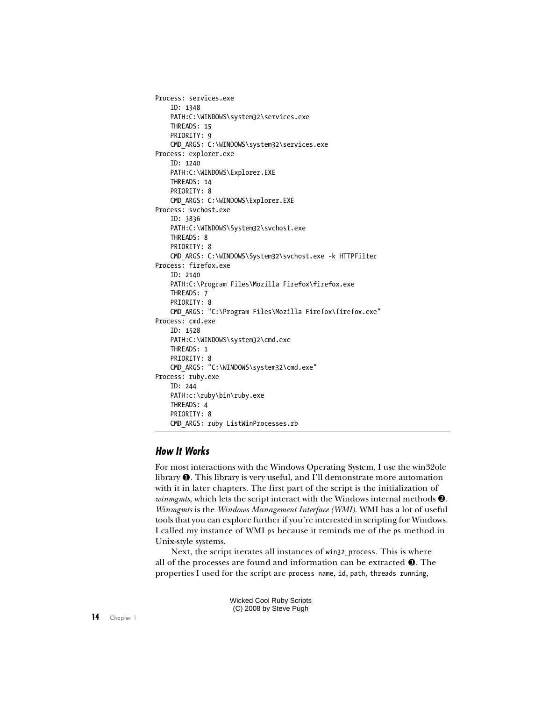Process: services.exe ID: 1348 PATH:C:\WINDOWS\system32\services.exe THREADS: 15 PRIORITY: 9 CMD\_ARGS: C:\WINDOWS\system32\services.exe Process: explorer.exe ID: 1240 PATH:C:\WINDOWS\Explorer.EXE THREADS: 14 PRIORITY: 8 CMD\_ARGS: C:\WINDOWS\Explorer.EXE Process: svchost.exe ID: 3836 PATH:C:\WINDOWS\System32\svchost.exe THREADS: 8 PRIORITY: 8 CMD\_ARGS: C:\WINDOWS\System32\svchost.exe -k HTTPFilter Process: firefox.exe ID: 2140 PATH:C:\Program Files\Mozilla Firefox\firefox.exe THREADS: 7 PRIORITY: 8 CMD\_ARGS: "C:\Program Files\Mozilla Firefox\firefox.exe" Process: cmd.exe ID: 1528 PATH:C:\WINDOWS\system32\cmd.exe THREADS: 1 PRIORITY: 8 CMD\_ARGS: "C:\WINDOWS\system32\cmd.exe" Process: ruby.exe ID: 244 PATH:c:\ruby\bin\ruby.exe THREADS: 4 PRIORITY: 8 CMD\_ARGS: ruby ListWinProcesses.rb

### *How It Works*

For most interactions with the Windows Operating System, I use the win32ole library  $\mathbf 0$ . This library is very useful, and I'll demonstrate more automation with it in later chapters. The first part of the script is the initialization of *winmgmts*, which lets the script interact with the Windows internal methods  $\bullet$ . *Winmgmts* is the *Windows Management Interface (WMI)*. WMI has a lot of useful tools that you can explore further if you're interested in scripting for Windows. I called my instance of WMI ps because it reminds me of the ps method in Unix-style systems.

Next, the script iterates all instances of win32\_process. This is where all of the processes are found and information can be extracted  $\bullet$ . The properties I used for the script are process name, id, path, threads running,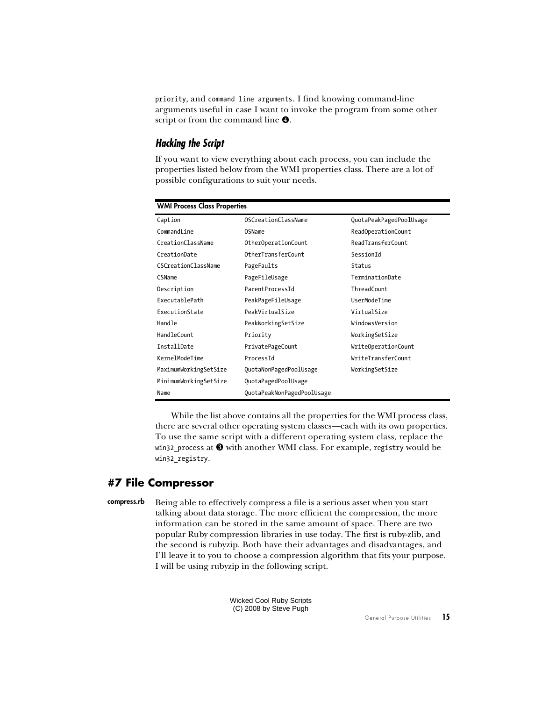priority, and command line arguments. I find knowing command-line arguments useful in case I want to invoke the program from some other script or from the command line  $\mathbf{\Theta}$ .

# *Hacking the Script*

If you want to view everything about each process, you can include the properties listed below from the WMI properties class. There are a lot of possible configurations to suit your needs.

| <b>WMI Process Class Properties</b> |                            |                          |  |  |  |
|-------------------------------------|----------------------------|--------------------------|--|--|--|
| Caption                             | OSCreationClassName        | QuotaPeakPagedPoolUsage  |  |  |  |
| Commandline                         | <b>OSName</b>              | ReadOperationCount       |  |  |  |
| CreationClassName                   | OtherOperationCount        | <b>ReadTransferCount</b> |  |  |  |
| CreationDate                        | OtherTransferCount         | SessionId                |  |  |  |
| CSCreationClassName                 | PageFaults                 | Status                   |  |  |  |
| CSName                              | PageFileUsage              | TerminationDate          |  |  |  |
| Description                         | ParentProcessId            | ThreadCount              |  |  |  |
| ExecutablePath                      | PeakPageFileUsage          | UserModeTime             |  |  |  |
| ExecutionState                      | PeakVirtualSize            | VirtualSize              |  |  |  |
| Handle                              | PeakWorkingSetSize         | WindowsVersion           |  |  |  |
| HandleCount                         | Priority                   | WorkingSetSize           |  |  |  |
| InstallDate                         | PrivatePageCount           | WriteOperationCount      |  |  |  |
| KernelModeTime                      | ProcessId                  | WriteTransferCount       |  |  |  |
| MaximumWorkingSetSize               | QuotaNonPagedPoolUsage     | WorkingSetSize           |  |  |  |
| MinimumWorkingSetSize               | QuotaPagedPoolUsage        |                          |  |  |  |
| Name                                | QuotaPeakNonPagedPoolUsage |                          |  |  |  |

While the list above contains all the properties for the WMI process class, there are several other operating system classes—each with its own properties. To use the same script with a different operating system class, replace the win32\_process at  $\bigcirc$  with another WMI class. For example, registry would be win32 registry.

# **#7 File Compressor**

**compress.rb** Being able to effectively compress a file is a serious asset when you start talking about data storage. The more efficient the compression, the more information can be stored in the same amount of space. There are two popular Ruby compression libraries in use today. The first is ruby-zlib, and the second is rubyzip. Both have their advantages and disadvantages, and I'll leave it to you to choose a compression algorithm that fits your purpose. I will be using rubyzip in the following script.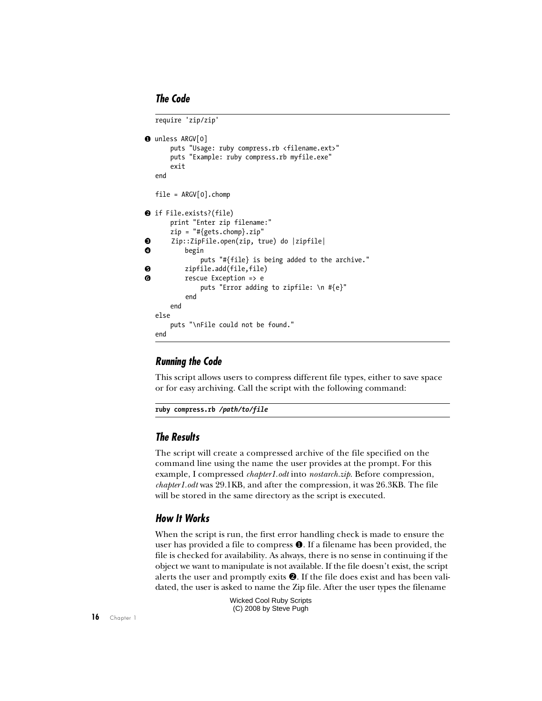```
The Code
```

```
require 'zip/zip'
O unless ARGV[0]
       puts "Usage: ruby compress.rb <filename.ext>"
       puts "Example: ruby compress.rb myfile.exe"
       exit
  end
  file = ARGV[0].chomp
@ if File.exists?(file)
       print "Enter zip filename:"
       zip = "#{gets.chomp}.zip" 
\bulletZip::ZipFile.open(zip, true) do |zipfile|
O begin
               puts "#{file} is being added to the archive."
 zipfile.add(file,file)
 rescue Exception => e
                puts "Error adding to zipfile: \n #{e}"
           end
       end
  else
       puts "\nFile could not be found."
  end
```
This script allows users to compress different file types, either to save space or for easy archiving. Call the script with the following command:

**ruby compress.rb** */path/to/file*

# *The Results*

The script will create a compressed archive of the file specified on the command line using the name the user provides at the prompt. For this example, I compressed *chapter1.odt* into *nostarch.zip*. Before compression, *chapter1.odt* was 29.1KB, and after the compression, it was 26.3KB. The file will be stored in the same directory as the script is executed.

### *How It Works*

When the script is run, the first error handling check is made to ensure the user has provided a file to compress  $\bullet$ . If a filename has been provided, the file is checked for availability. As always, there is no sense in continuing if the object we want to manipulate is not available. If the file doesn't exist, the script alerts the user and promptly exits  $\bullet$ . If the file does exist and has been validated, the user is asked to name the Zip file. After the user types the filename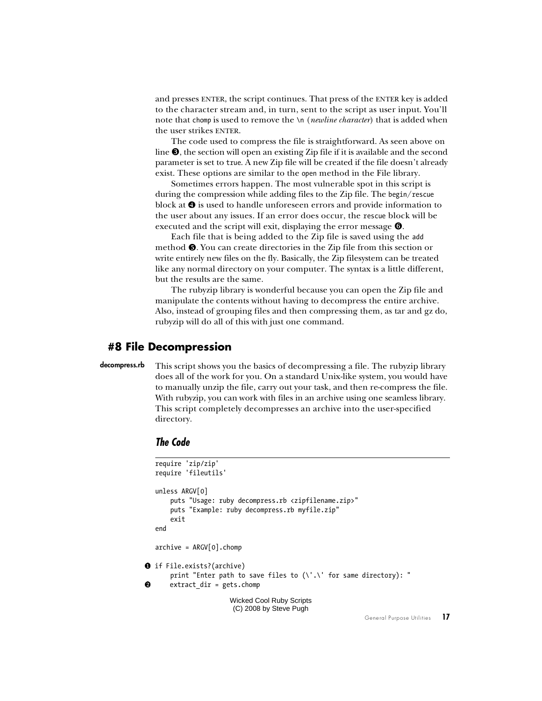and presses ENTER, the script continues. That press of the ENTER key is added to the character stream and, in turn, sent to the script as user input. You'll note that chomp is used to remove the \n (*newline character*) that is added when the user strikes ENTER.

The code used to compress the file is straightforward. As seen above on line  $\Theta$ , the section will open an existing Zip file if it is available and the second parameter is set to true. A new Zip file will be created if the file doesn't already exist. These options are similar to the open method in the File library.

Sometimes errors happen. The most vulnerable spot in this script is during the compression while adding files to the Zip file. The begin/rescue block at  $\bullet$  is used to handle unforeseen errors and provide information to the user about any issues. If an error does occur, the rescue block will be executed and the script will exit, displaying the error message  $\mathbf{0}$ .

Each file that is being added to the Zip file is saved using the add method  $\bullet$ . You can create directories in the Zip file from this section or write entirely new files on the fly. Basically, the Zip filesystem can be treated like any normal directory on your computer. The syntax is a little different, but the results are the same.

The rubyzip library is wonderful because you can open the Zip file and manipulate the contents without having to decompress the entire archive. Also, instead of grouping files and then compressing them, as tar and gz do, rubyzip will do all of this with just one command.

# **#8 File Decompression**

**decompress.rb** This script shows you the basics of decompressing a file. The rubyzip library does all of the work for you. On a standard Unix-like system, you would have to manually unzip the file, carry out your task, and then re-compress the file. With rubyzip, you can work with files in an archive using one seamless library. This script completely decompresses an archive into the user-specified directory.

# *The Code*

```
require 'zip/zip'
   require 'fileutils'
   unless ARGV[0]
        puts "Usage: ruby decompress.rb <zipfilename.zip>"
        puts "Example: ruby decompress.rb myfile.zip"
        exit
   end
   archive = ARGV[0].chomp
O if File.exists?(archive)
       print "Enter path to save files to (\'.\' for same directory): "
\boldsymbol{\Omega} extract_dir = gets.chomp
                        Wicked Cool Ruby Scripts
                         (C) 2008 by Steve Pugh
```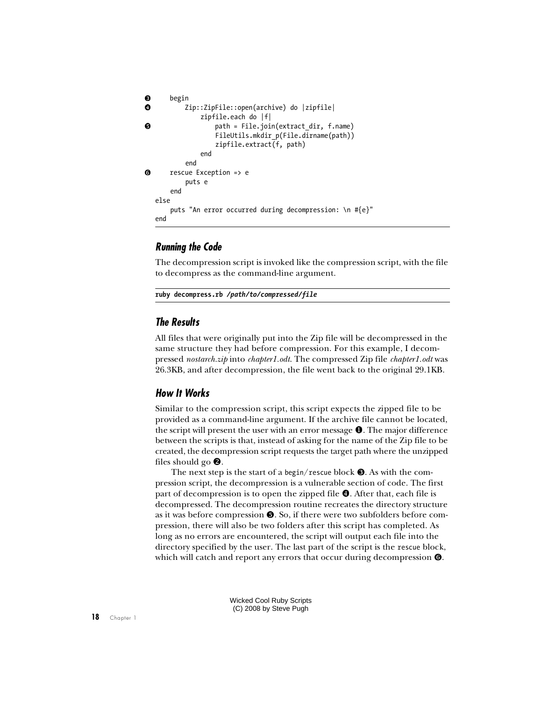```
8 begin
 Zip::ZipFile::open(archive) do |zipfile|
               zipfile.each do |f|
 path = File.join(extract_dir, f.name)
                 FileUtils.mkdir p(File.dirname(path))
                  zipfile.extract(f, path) 
               end
           end
O rescue Exception => e
           puts e
       end
  else
       puts "An error occurred during decompression: \n #{e}"
  end
```
The decompression script is invoked like the compression script, with the file to decompress as the command-line argument.

**ruby decompress.rb** */path/to/compressed/file*

### *The Results*

All files that were originally put into the Zip file will be decompressed in the same structure they had before compression. For this example, I decompressed *nostarch.zip* into *chapter1.odt*. The compressed Zip file *chapter1.odt* was 26.3KB, and after decompression, the file went back to the original 29.1KB.

### *How It Works*

Similar to the compression script, this script expects the zipped file to be provided as a command-line argument. If the archive file cannot be located, the script will present the user with an error message  $\bullet$ . The major difference between the scripts is that, instead of asking for the name of the Zip file to be created, the decompression script requests the target path where the unzipped files should go  $\bullet$ .

The next step is the start of a begin/rescue block  $\Theta$ . As with the compression script, the decompression is a vulnerable section of code. The first part of decompression is to open the zipped file  $\bullet$ . After that, each file is decompressed. The decompression routine recreates the directory structure as it was before compression  $\bullet$ . So, if there were two subfolders before compression, there will also be two folders after this script has completed. As long as no errors are encountered, the script will output each file into the directory specified by the user. The last part of the script is the rescue block, which will catch and report any errors that occur during decompression  $\bm{\Theta}$ .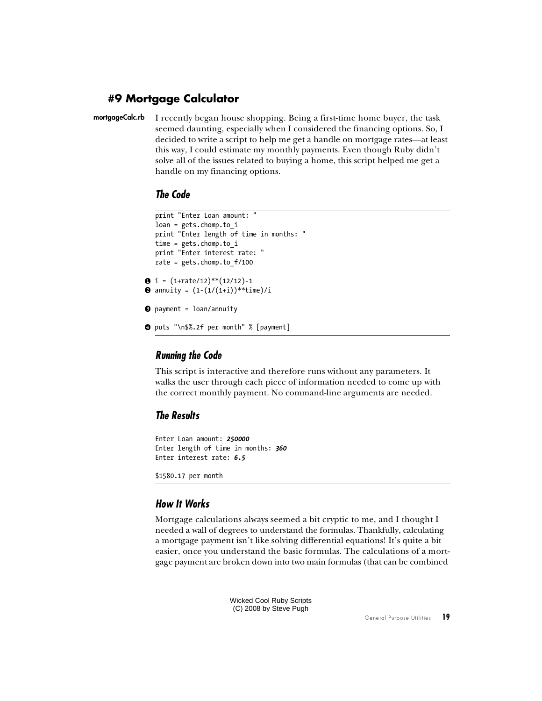# **#9 Mortgage Calculator**

**mortgageCalc.rb** I recently began house shopping. Being a first-time home buyer, the task seemed daunting, especially when I considered the financing options. So, I decided to write a script to help me get a handle on mortgage rates—at least this way, I could estimate my monthly payments. Even though Ruby didn't solve all of the issues related to buying a home, this script helped me get a handle on my financing options.

# *The Code*

```
print "Enter Loan amount: "
  loan = gets.chomp.to i
  print "Enter length of time in months: "
  time = gets.chomp.to_i
  print "Enter interest rate: "
  rate = gets.chomp.to_f/100
\bullet i = (1+rate/12)**(12/12)-12 annuity = (1-(1/(1+i)) **time)/i
\bullet payment = loan/annuity
 puts "\n$%.2f per month" % [payment]
```
# *Running the Code*

This script is interactive and therefore runs without any parameters. It walks the user through each piece of information needed to come up with the correct monthly payment. No command-line arguments are needed.

# *The Results*

```
Enter Loan amount: 250000
Enter length of time in months: 360
Enter interest rate: 6.5
```
\$1580.17 per month

# *How It Works*

Mortgage calculations always seemed a bit cryptic to me, and I thought I needed a wall of degrees to understand the formulas. Thankfully, calculating a mortgage payment isn't like solving differential equations! It's quite a bit easier, once you understand the basic formulas. The calculations of a mortgage payment are broken down into two main formulas (that can be combined